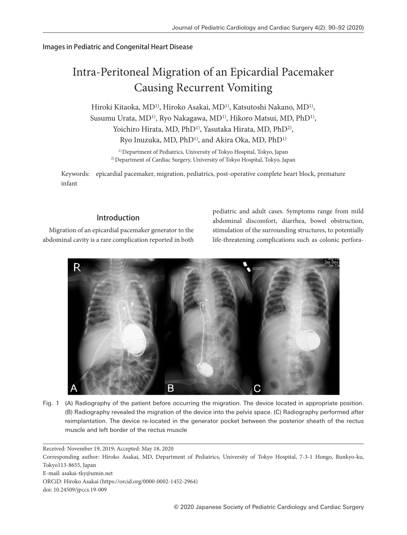## Images in Pediatric and Congenital Heart Disease

# Intra-Peritoneal Migration of an Epicardial Pacemaker Causing Recurrent Vomiting

Hiroki Kitaoka, MD<sup>1)</sup>, Hiroko Asakai, MD<sup>1)</sup>, Katsutoshi Nakano, MD<sup>1)</sup>, Susumu Urata, MD<sup>1)</sup>, Ryo Nakagawa, MD<sup>1)</sup>, Hikoro Matsui, MD, PhD<sup>1)</sup>, Yoichiro Hirata, MD, PhD<sup>1)</sup>, Yasutaka Hirata, MD, PhD<sup>2)</sup>, Ryo Inuzuka, MD, PhD<sup>1)</sup>, and Akira Oka, MD, PhD<sup>1)</sup>

<sup>1)</sup> Department of Pediatrics, University of Tokyo Hospital, Tokyo, Japan 2) Department of Cardiac Surgery, University of Tokyo Hospital, Tokyo, Japan

Keywords: epicardial pacemaker, migration, pediatrics, post-operative complete heart block, premature infant

## Introduction

Migration of an epicardial pacemaker generator to the abdominal cavity is a rare complication reported in both pediatric and adult cases. Symptoms range from mild abdominal discomfort, diarrhea, bowel obstruction, stimulation of the surrounding structures, to potentially life-threatening complications such as colonic perfora-



Fig. 1 (A) Radiography of the patient before occurring the migration. The device located in appropriate position. (B) Radiography revealed the migration of the device into the pelvis space. (C) Radiography performed after reimplantation. The device re-located in the generator pocket between the posterior sheath of the rectus muscle and left border of the rectus muscle

Received: November 19, 2019; Accepted: May 18, 2020

Corresponding author: Hiroko Asakai, MD, Department of Pediatrics, University of Tokyo Hospital, 7-3-1 Hongo, Bunkyo-ku, Tokyo113-8655, Japan

E-mail: asakai-tky@umin.net

ORCiD: Hiroko Asakai (https://orcid.org/0000-0002-1452-2964)

doi: 10.24509/jpccs.19-009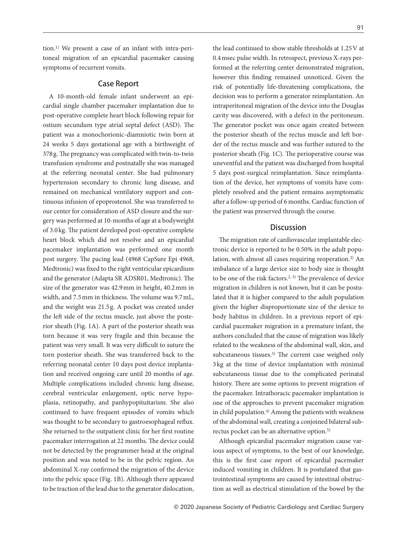tion.1) We present a case of an infant with intra-peritoneal migration of an epicardial pacemaker causing symptoms of recurrent vomits.

#### Case Report

A 10-month-old female infant underwent an epicardial single chamber pacemaker implantation due to post-operative complete heart block following repair for ostium secundum type atrial septal defect (ASD). The patient was a monochorionic-diamniotic twin born at 24 weeks 5 days gestational age with a birthweight of 378 g. The pregnancy was complicated with twin-to-twin transfusion syndrome and postnatally she was managed at the referring neonatal center. She had pulmonary hypertension secondary to chronic lung disease, and remained on mechanical ventilatory support and continuous infusion of epoprostenol. She was transferred to our center for consideration of ASD closure and the surgery was performed at 10-months of age at a bodyweight of 3.0 kg. The patient developed post-operative complete heart block which did not resolve and an epicardial pacemaker implantation was performed one month post surgery. The pacing lead (4968 CapSure Epi 4968, Medtronic) was fixed to the right ventricular epicardium and the generator (Adapta SR ADSR01, Medtronic). The size of the generator was 42.9 mm in height, 40.2 mm in width, and 7.5 mm in thickness. The volume was 9.7 mL, and the weight was 21.5 g. A pocket was created under the left side of the rectus muscle, just above the posterior sheath (Fig. 1A). A part of the posterior sheath was torn because it was very fragile and thin because the patient was very small. It was very difficult to suture the torn posterior sheath. She was transferred back to the referring neonatal center 10 days post device implantation and received ongoing care until 20 months of age. Multiple complications included chronic lung disease, cerebral ventricular enlargement, optic nerve hypoplasia, retinopathy, and panhypopituitarism. She also continued to have frequent episodes of vomits which was thought to be secondary to gastroesophageal reflux. She returned to the outpatient clinic for her first routine pacemaker interrogation at 22 months. The device could not be detected by the programmer head at the original position and was noted to be in the pelvic region. An abdominal X-ray confirmed the migration of the device into the pelvic space (Fig. 1B). Although there appeared to be traction of the lead due to the generator dislocation, the lead continued to show stable thresholds at 1.25 V at 0.4 msec pulse width. In retrospect, previous X-rays performed at the referring center demonstrated migration, however this finding remained unnoticed. Given the risk of potentially life-threatening complications, the decision was to perform a generator reimplantation. An intraperitoneal migration of the device into the Douglas cavity was discovered, with a defect in the peritoneum. The generator pocket was once again created between the posterior sheath of the rectus muscle and left border of the rectus muscle and was further sutured to the posterior sheath (Fig. 1C). The perioperative course was uneventful and the patient was discharged from hospital 5 days post-surgical reimplantation. Since reimplantation of the device, her symptoms of vomits have completely resolved and the patient remains asymptomatic after a follow-up period of 6 months. Cardiac function of the patient was preserved through the course.

#### **Discussion**

The migration rate of cardiovascular implantable electronic device is reported to be 0.50% in the adult population, with almost all cases requiring reoperation.<sup>2)</sup> An imbalance of a large device size to body size is thought to be one of the risk factors.<sup>2, 3)</sup> The prevalence of device migration in children is not known, but it can be postulated that it is higher compared to the adult population given the higher disproportionate size of the device to body habitus in children. In a previous report of epicardial pacemaker migration in a premature infant, the authors concluded that the cause of migration was likely related to the weakness of the abdominal wall, skin, and subcutaneous tissues.<sup>3)</sup> The current case weighed only 3 kg at the time of device implantation with minimal subcutaneous tissue due to the complicated perinatal history. There are some options to prevent migration of the pacemaker. Intrathoracic pacemaker implantation is one of the approaches to prevent pacemaker migration in child population.<sup>4)</sup> Among the patients with weakness of the abdominal wall, creating a conjoined bilateral subrectus pocket can be an alternative option.5)

Although epicardial pacemaker migration cause various aspect of symptoms, to the best of our knowledge, this is the first case report of epicardial pacemaker induced vomiting in children. It is postulated that gastrointestinal symptoms are caused by intestinal obstruction as well as electrical stimulation of the bowel by the